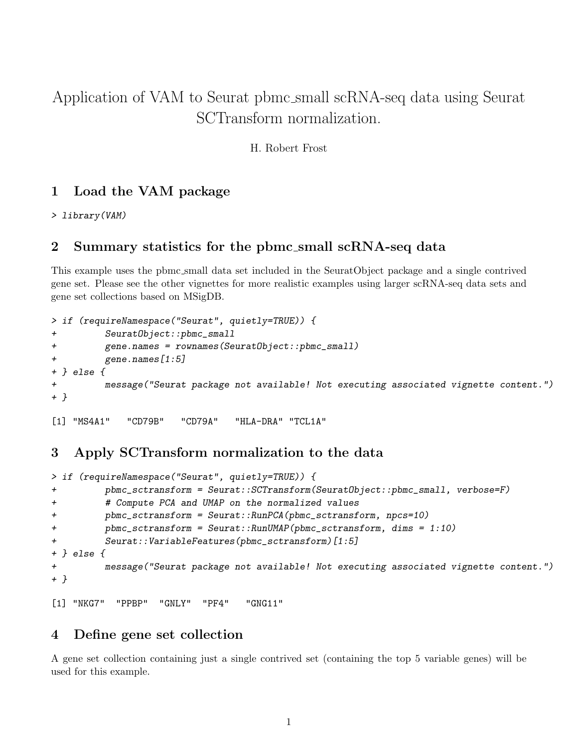# Application of VAM to Seurat pbmc small scRNA-seq data using Seurat SCTransform normalization.

H. Robert Frost

## 1 Load the VAM package

> library(VAM)

#### 2 Summary statistics for the pbmc small scRNA-seq data

This example uses the pbmc small data set included in the SeuratObject package and a single contrived gene set. Please see the other vignettes for more realistic examples using larger scRNA-seq data sets and gene set collections based on MSigDB.

```
> if (requireNamespace("Seurat", quietly=TRUE)) {
+ SeuratObject::pbmc_small
+ gene.names = rownames(SeuratObject::pbmc_small)
+ gene.names[1:5]
+ } else {
+ message("Seurat package not available! Not executing associated vignette content.")
+ }
[1] "MS4A1" "CD79B" "CD79A" "HLA-DRA" "TCL1A"
```
#### 3 Apply SCTransform normalization to the data

```
> if (requireNamespace("Seurat", quietly=TRUE)) {
+ pbmc_sctransform = Seurat::SCTransform(SeuratObject::pbmc_small, verbose=F)
+ # Compute PCA and UMAP on the normalized values
+ pbmc_sctransform = Seurat::RunPCA(pbmc_sctransform, npcs=10)
+ pbmc_sctransform = Seurat::RunUMAP(pbmc_sctransform, dims = 1:10)
+ Seurat::VariableFeatures(pbmc_sctransform)[1:5]
+ } else {
+ message("Seurat package not available! Not executing associated vignette content.")
+ }
```
# 4 Define gene set collection

[1] "NKG7" "PPBP" "GNLY" "PF4" "GNG11"

A gene set collection containing just a single contrived set (containing the top 5 variable genes) will be used for this example.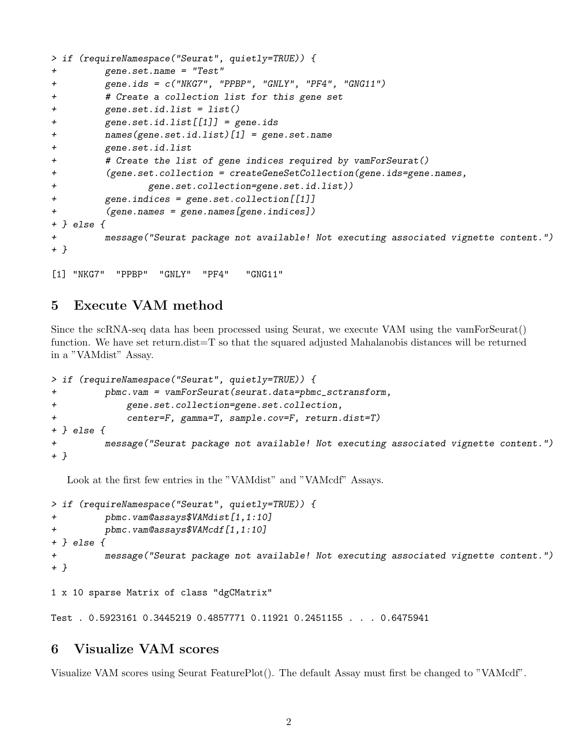```
> if (requireNamespace("Seurat", quietly=TRUE)) {
+ gene.set.name = "Test"
+ gene.ids = c("NKG7", "PPBP", "GNLY", "PF4", "GNG11")
+ # Create a collection list for this gene set
+ gene.set.id.list = list()
+ gene.set.id.list[[1]] = gene.ids
+ names(gene.set.id.list)[1] = gene.set.name
+ gene.set.id.list
+ # Create the list of gene indices required by vamForSeurat()
+ (gene.set.collection = createGeneSetCollection(gene.ids=gene.names,
+ gene.set.collection=gene.set.id.list))
+ gene.indices = gene.set.collection[[1]]
+ (gene.names = gene.names[gene.indices])
+ } else {
+ message("Seurat package not available! Not executing associated vignette content.")
+ }
```
[1] "NKG7" "PPBP" "GNLY" "PF4" "GNG11"

### 5 Execute VAM method

Since the scRNA-seq data has been processed using Seurat, we execute VAM using the vamForSeurat() function. We have set return.dist=T so that the squared adjusted Mahalanobis distances will be returned in a "VAMdist" Assay.

```
> if (requireNamespace("Seurat", quietly=TRUE)) {
+ pbmc.vam = vamForSeurat(seurat.data=pbmc_sctransform,
+ gene.set.collection=gene.set.collection,
+ center=F, gamma=T, sample.cov=F, return.dist=T)
+ } else {
         message("Seurat package not available! Not executing associated vignette content.")
+ }
```
Look at the first few entries in the "VAMdist" and "VAMcdf" Assays.

```
> if (requireNamespace("Seurat", quietly=TRUE)) {
+ pbmc.vam@assays$VAMdist[1,1:10]
+ pbmc.vam@assays$VAMcdf[1,1:10]
+ } else {
+ message("Seurat package not available! Not executing associated vignette content.")
+ }
```

```
1 x 10 sparse Matrix of class "dgCMatrix"
```
Test . 0.5923161 0.3445219 0.4857771 0.11921 0.2451155 . . . 0.6475941

#### 6 Visualize VAM scores

Visualize VAM scores using Seurat FeaturePlot(). The default Assay must first be changed to "VAMcdf".